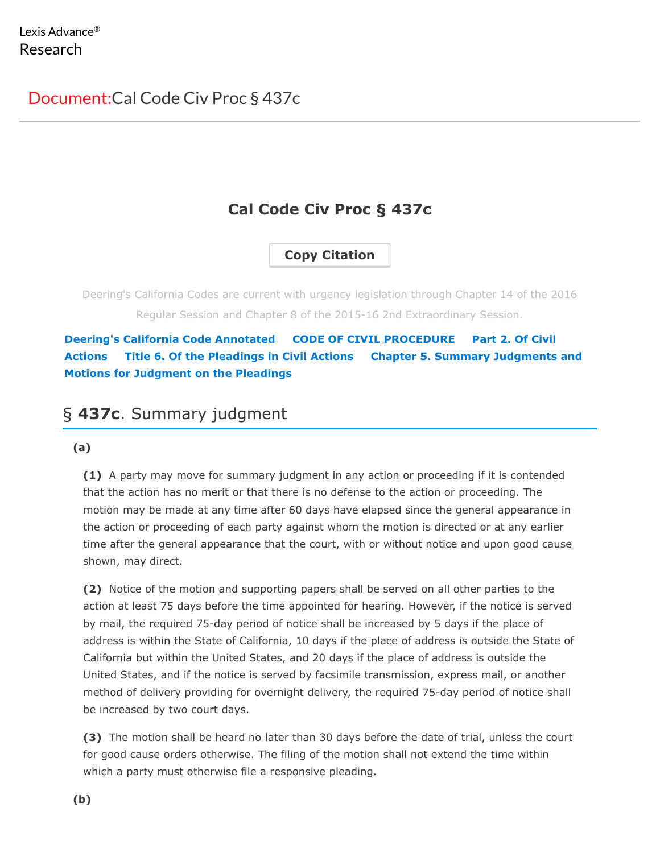# **Cal Code Civ Proc § 437c**

# **Copy Citation**

Deering's California Codes are current with urgency legislation through Chapter 14 of the 2016 Regular Session and Chapter 8 of the 2015-16 2nd Extraordinary Session.

**[Deering's California Code Annotated](https://advance.lexis.com/documentprint/documentprintclick/?pdmfid=1000516&crid=c4d1f4d9-40c3-4b86-9c73-bfbd0fe73b28&ecomp=-9pfk&prid=75780ce8-2570-4278-a230-94859ff2f641#) [CODE OF CIVIL PROCEDURE](https://advance.lexis.com/documentprint/documentprintclick/?pdmfid=1000516&crid=c4d1f4d9-40c3-4b86-9c73-bfbd0fe73b28&ecomp=-9pfk&prid=75780ce8-2570-4278-a230-94859ff2f641#) Part 2. Of Civil Actions [Title 6. Of the Pleadings in Civil Actions](https://advance.lexis.com/documentprint/documentprintclick/?pdmfid=1000516&crid=c4d1f4d9-40c3-4b86-9c73-bfbd0fe73b28&ecomp=-9pfk&prid=75780ce8-2570-4278-a230-94859ff2f641#) Chapter 5. Summary Judgments and Motions for Judgment on the Pleadings**

# § **437c**. Summary judgment

### **(a)**

**(1)** A party may move for summary judgment in any action or proceeding if it is contended that the action has no merit or that there is no defense to the action or proceeding. The motion may be made at any time after 60 days have elapsed since the general appearance in the action or proceeding of each party against whom the motion is directed or at any earlier time after the general appearance that the court, with or without notice and upon good cause shown, may direct.

**(2)** Notice of the motion and supporting papers shall be served on all other parties to the action at least 75 days before the time appointed for hearing. However, if the notice is served by mail, the required 75-day period of notice shall be increased by 5 days if the place of address is within the State of California, 10 days if the place of address is outside the State of California but within the United States, and 20 days if the place of address is outside the United States, and if the notice is served by facsimile transmission, express mail, or another method of delivery providing for overnight delivery, the required 75-day period of notice shall be increased by two court days.

**(3)** The motion shall be heard no later than 30 days before the date of trial, unless the court for good cause orders otherwise. The filing of the motion shall not extend the time within which a party must otherwise file a responsive pleading.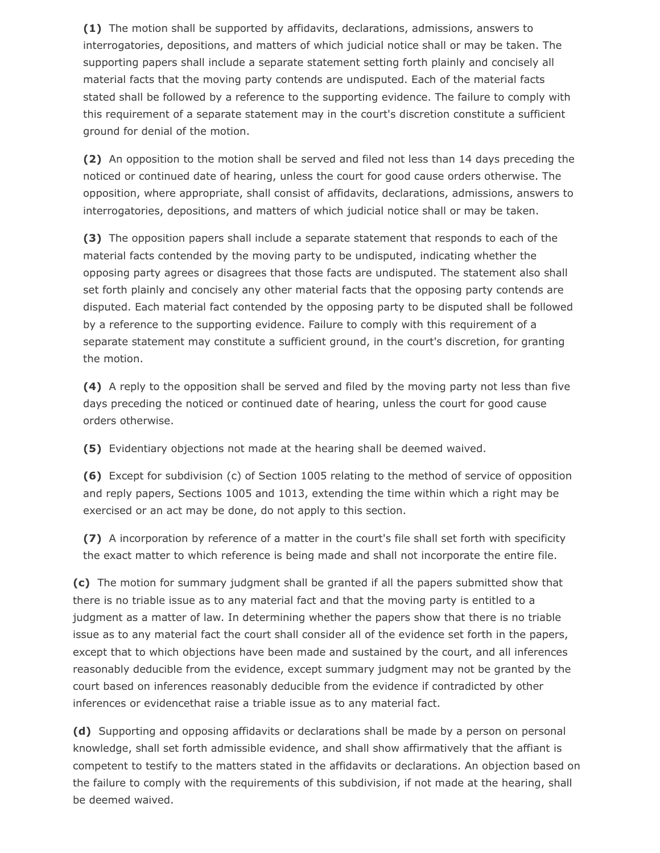**(1)** The motion shall be supported by affidavits, declarations, admissions, answers to interrogatories, depositions, and matters of which judicial notice shall or may be taken. The supporting papers shall include a separate statement setting forth plainly and concisely all material facts that the moving party contends are undisputed. Each of the material facts stated shall be followed by a reference to the supporting evidence. The failure to comply with this requirement of a separate statement may in the court's discretion constitute a sufficient ground for denial of the motion.

**(2)** An opposition to the motion shall be served and filed not less than 14 days preceding the noticed or continued date of hearing, unless the court for good cause orders otherwise. The opposition, where appropriate, shall consist of affidavits, declarations, admissions, answers to interrogatories, depositions, and matters of which judicial notice shall or may be taken.

**(3)** The opposition papers shall include a separate statement that responds to each of the material facts contended by the moving party to be undisputed, indicating whether the opposing party agrees or disagrees that those facts are undisputed. The statement also shall set forth plainly and concisely any other material facts that the opposing party contends are disputed. Each material fact contended by the opposing party to be disputed shall be followed by a reference to the supporting evidence. Failure to comply with this requirement of a separate statement may constitute a sufficient ground, in the court's discretion, for granting the motion.

**(4)** A reply to the opposition shall be served and filed by the moving party not less than five days preceding the noticed or continued date of hearing, unless the court for good cause orders otherwise.

**(5)** Evidentiary objections not made at the hearing shall be deemed waived.

**(6)** Except for subdivision (c) of Section 1005 relating to the method of service of opposition and reply papers, Sections 1005 and 1013, extending the time within which a right may be exercised or an act may be done, do not apply to this section.

**(7)** A incorporation by reference of a matter in the court's file shall set forth with specificity the exact matter to which reference is being made and shall not incorporate the entire file.

**(c)** The motion for summary judgment shall be granted if all the papers submitted show that there is no triable issue as to any material fact and that the moving party is entitled to a judgment as a matter of law. In determining whether the papers show that there is no triable issue as to any material fact the court shall consider all of the evidence set forth in the papers, except that to which objections have been made and sustained by the court, and all inferences reasonably deducible from the evidence, except summary judgment may not be granted by the court based on inferences reasonably deducible from the evidence if contradicted by other inferences or evidencethat raise a triable issue as to any material fact.

**(d)** Supporting and opposing affidavits or declarations shall be made by a person on personal knowledge, shall set forth admissible evidence, and shall show affirmatively that the affiant is competent to testify to the matters stated in the affidavits or declarations. An objection based on the failure to comply with the requirements of this subdivision, if not made at the hearing, shall be deemed waived.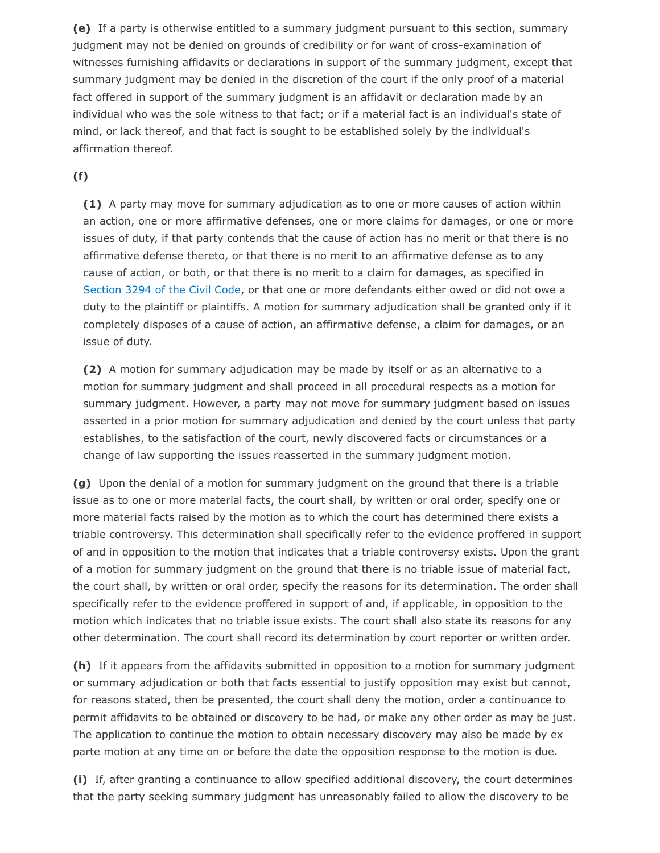**(e)** If a party is otherwise entitled to a summary judgment pursuant to this section, summary judgment may not be denied on grounds of credibility or for want of cross-examination of witnesses furnishing affidavits or declarations in support of the summary judgment, except that summary judgment may be denied in the discretion of the court if the only proof of a material fact offered in support of the summary judgment is an affidavit or declaration made by an individual who was the sole witness to that fact; or if a material fact is an individual's state of mind, or lack thereof, and that fact is sought to be established solely by the individual's affirmation thereof.

## **(f)**

**(1)** A party may move for summary adjudication as to one or more causes of action within an action, one or more affirmative defenses, one or more claims for damages, or one or more issues of duty, if that party contends that the cause of action has no merit or that there is no affirmative defense thereto, or that there is no merit to an affirmative defense as to any cause of action, or both, or that there is no merit to a claim for damages, as specified in [Section 3294 of the Civil Code,](https://advance.lexis.com/documentprint/documentprintclick/?pdmfid=1000516&crid=c4d1f4d9-40c3-4b86-9c73-bfbd0fe73b28&ecomp=-9pfk&prid=75780ce8-2570-4278-a230-94859ff2f641#) or that one or more defendants either owed or did not owe a duty to the plaintiff or plaintiffs. A motion for summary adjudication shall be granted only if it completely disposes of a cause of action, an affirmative defense, a claim for damages, or an issue of duty.

**(2)** A motion for summary adjudication may be made by itself or as an alternative to a motion for summary judgment and shall proceed in all procedural respects as a motion for summary judgment. However, a party may not move for summary judgment based on issues asserted in a prior motion for summary adjudication and denied by the court unless that party establishes, to the satisfaction of the court, newly discovered facts or circumstances or a change of law supporting the issues reasserted in the summary judgment motion.

**(g)** Upon the denial of a motion for summary judgment on the ground that there is a triable issue as to one or more material facts, the court shall, by written or oral order, specify one or more material facts raised by the motion as to which the court has determined there exists a triable controversy. This determination shall specifically refer to the evidence proffered in support of and in opposition to the motion that indicates that a triable controversy exists. Upon the grant of a motion for summary judgment on the ground that there is no triable issue of material fact, the court shall, by written or oral order, specify the reasons for its determination. The order shall specifically refer to the evidence proffered in support of and, if applicable, in opposition to the motion which indicates that no triable issue exists. The court shall also state its reasons for any other determination. The court shall record its determination by court reporter or written order.

**(h)** If it appears from the affidavits submitted in opposition to a motion for summary judgment or summary adjudication or both that facts essential to justify opposition may exist but cannot, for reasons stated, then be presented, the court shall deny the motion, order a continuance to permit affidavits to be obtained or discovery to be had, or make any other order as may be just. The application to continue the motion to obtain necessary discovery may also be made by ex parte motion at any time on or before the date the opposition response to the motion is due.

**(i)** If, after granting a continuance to allow specified additional discovery, the court determines that the party seeking summary judgment has unreasonably failed to allow the discovery to be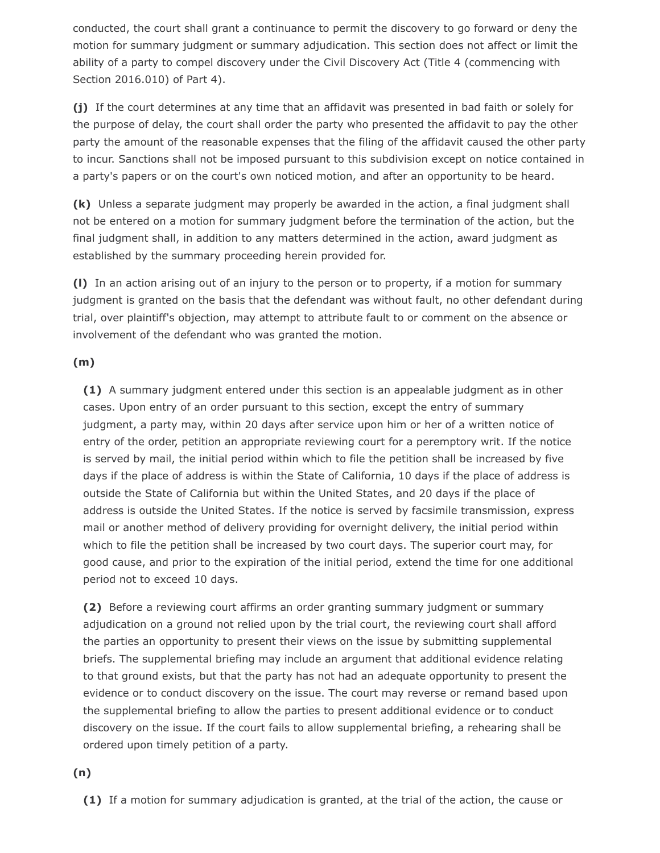conducted, the court shall grant a continuance to permit the discovery to go forward or deny the motion for summary judgment or summary adjudication. This section does not affect or limit the ability of a party to compel discovery under the Civil Discovery Act (Title 4 (commencing with Section 2016.010) of Part 4).

**(j)** If the court determines at any time that an affidavit was presented in bad faith or solely for the purpose of delay, the court shall order the party who presented the affidavit to pay the other party the amount of the reasonable expenses that the filing of the affidavit caused the other party to incur. Sanctions shall not be imposed pursuant to this subdivision except on notice contained in a party's papers or on the court's own noticed motion, and after an opportunity to be heard.

**(k)** Unless a separate judgment may properly be awarded in the action, a final judgment shall not be entered on a motion for summary judgment before the termination of the action, but the final judgment shall, in addition to any matters determined in the action, award judgment as established by the summary proceeding herein provided for.

**(l)** In an action arising out of an injury to the person or to property, if a motion for summary judgment is granted on the basis that the defendant was without fault, no other defendant during trial, over plaintiff's objection, may attempt to attribute fault to or comment on the absence or involvement of the defendant who was granted the motion.

### **(m)**

**(1)** A summary judgment entered under this section is an appealable judgment as in other cases. Upon entry of an order pursuant to this section, except the entry of summary judgment, a party may, within 20 days after service upon him or her of a written notice of entry of the order, petition an appropriate reviewing court for a peremptory writ. If the notice is served by mail, the initial period within which to file the petition shall be increased by five days if the place of address is within the State of California, 10 days if the place of address is outside the State of California but within the United States, and 20 days if the place of address is outside the United States. If the notice is served by facsimile transmission, express mail or another method of delivery providing for overnight delivery, the initial period within which to file the petition shall be increased by two court days. The superior court may, for good cause, and prior to the expiration of the initial period, extend the time for one additional period not to exceed 10 days.

**(2)** Before a reviewing court affirms an order granting summary judgment or summary adjudication on a ground not relied upon by the trial court, the reviewing court shall afford the parties an opportunity to present their views on the issue by submitting supplemental briefs. The supplemental briefing may include an argument that additional evidence relating to that ground exists, but that the party has not had an adequate opportunity to present the evidence or to conduct discovery on the issue. The court may reverse or remand based upon the supplemental briefing to allow the parties to present additional evidence or to conduct discovery on the issue. If the court fails to allow supplemental briefing, a rehearing shall be ordered upon timely petition of a party.

### **(n)**

**(1)** If a motion for summary adjudication is granted, at the trial of the action, the cause or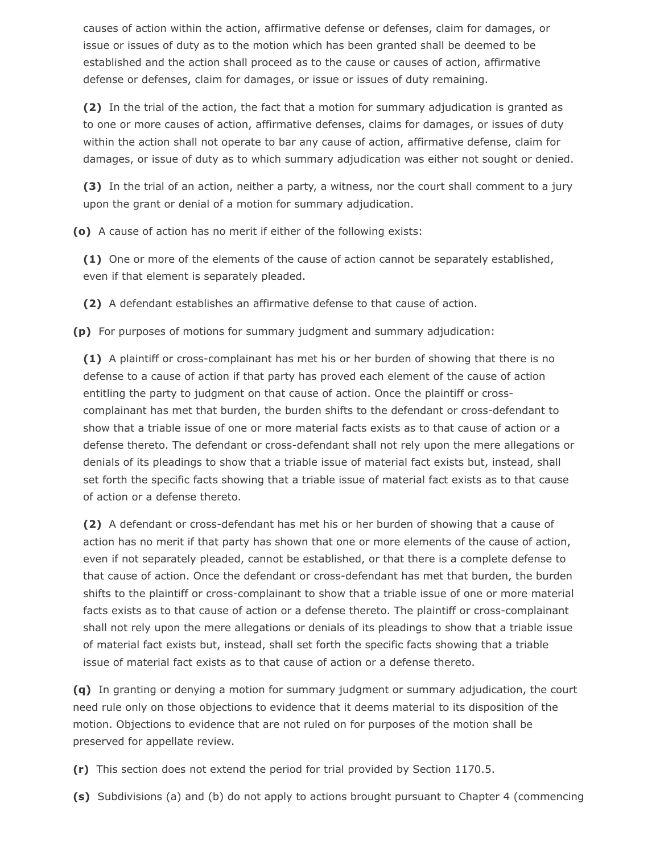causes of action within the action, affirmative defense or defenses, claim for damages, or issue or issues of duty as to the motion which has been granted shall be deemed to be established and the action shall proceed as to the cause or causes of action, affirmative defense or defenses, claim for damages, or issue or issues of duty remaining.

**(2)** In the trial of the action, the fact that a motion for summary adjudication is granted as to one or more causes of action, affirmative defenses, claims for damages, or issues of duty within the action shall not operate to bar any cause of action, affirmative defense, claim for damages, or issue of duty as to which summary adjudication was either not sought or denied.

**(3)** In the trial of an action, neither a party, a witness, nor the court shall comment to a jury upon the grant or denial of a motion for summary adjudication.

**(o)** A cause of action has no merit if either of the following exists:

**(1)** One or more of the elements of the cause of action cannot be separately established, even if that element is separately pleaded.

**(2)** A defendant establishes an affirmative defense to that cause of action.

**(p)** For purposes of motions for summary judgment and summary adjudication:

**(1)** A plaintiff or cross-complainant has met his or her burden of showing that there is no defense to a cause of action if that party has proved each element of the cause of action entitling the party to judgment on that cause of action. Once the plaintiff or crosscomplainant has met that burden, the burden shifts to the defendant or cross-defendant to show that a triable issue of one or more material facts exists as to that cause of action or a defense thereto. The defendant or cross-defendant shall not rely upon the mere allegations or denials of its pleadings to show that a triable issue of material fact exists but, instead, shall set forth the specific facts showing that a triable issue of material fact exists as to that cause of action or a defense thereto.

**(2)** A defendant or cross-defendant has met his or her burden of showing that a cause of action has no merit if that party has shown that one or more elements of the cause of action, even if not separately pleaded, cannot be established, or that there is a complete defense to that cause of action. Once the defendant or cross-defendant has met that burden, the burden shifts to the plaintiff or cross-complainant to show that a triable issue of one or more material facts exists as to that cause of action or a defense thereto. The plaintiff or cross-complainant shall not rely upon the mere allegations or denials of its pleadings to show that a triable issue of material fact exists but, instead, shall set forth the specific facts showing that a triable issue of material fact exists as to that cause of action or a defense thereto.

**(q)** In granting or denying a motion for summary judgment or summary adjudication, the court need rule only on those objections to evidence that it deems material to its disposition of the motion. Objections to evidence that are not ruled on for purposes of the motion shall be preserved for appellate review.

**(r)** This section does not extend the period for trial provided by Section 1170.5.

**(s)** Subdivisions (a) and (b) do not apply to actions brought pursuant to Chapter 4 (commencing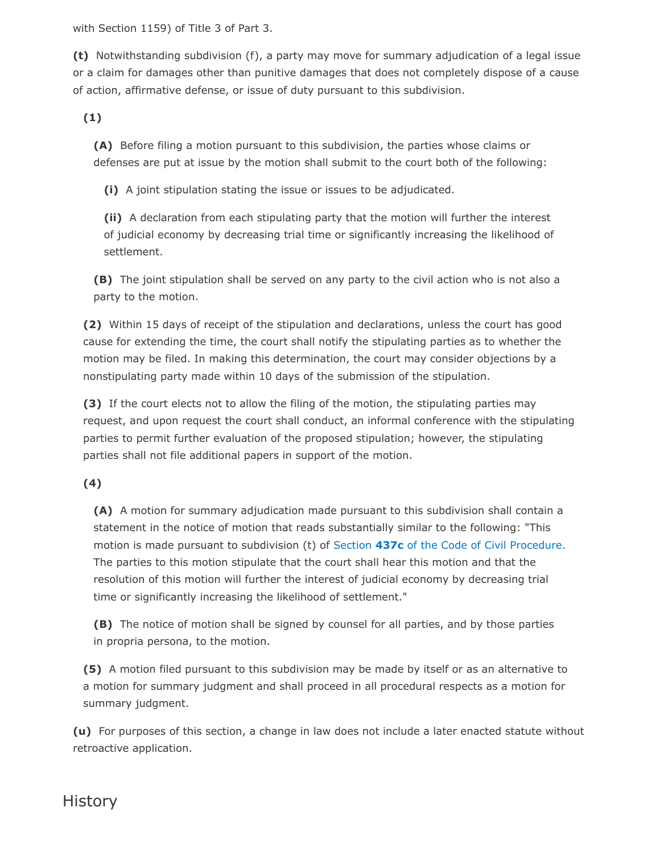with Section 1159) of Title 3 of Part 3.

**(t)** Notwithstanding subdivision (f), a party may move for summary adjudication of a legal issue or a claim for damages other than punitive damages that does not completely dispose of a cause of action, affirmative defense, or issue of duty pursuant to this subdivision.

**(1)**

**(A)** Before filing a motion pursuant to this subdivision, the parties whose claims or defenses are put at issue by the motion shall submit to the court both of the following:

**(i)** A joint stipulation stating the issue or issues to be adjudicated.

**(ii)** A declaration from each stipulating party that the motion will further the interest of judicial economy by decreasing trial time or significantly increasing the likelihood of settlement.

**(B)** The joint stipulation shall be served on any party to the civil action who is not also a party to the motion.

**(2)** Within 15 days of receipt of the stipulation and declarations, unless the court has good cause for extending the time, the court shall notify the stipulating parties as to whether the motion may be filed. In making this determination, the court may consider objections by a nonstipulating party made within 10 days of the submission of the stipulation.

**(3)** If the court elects not to allow the filing of the motion, the stipulating parties may request, and upon request the court shall conduct, an informal conference with the stipulating parties to permit further evaluation of the proposed stipulation; however, the stipulating parties shall not file additional papers in support of the motion.

**(4)**

**(A)** A motion for summary adjudication made pursuant to this subdivision shall contain a statement in the notice of motion that reads substantially similar to the following: "This motion is made pursuant to subdivision (t) of Section **437c** [of the Code of Civil Procedure.](https://advance.lexis.com/documentprint/documentprintclick/?pdmfid=1000516&crid=c4d1f4d9-40c3-4b86-9c73-bfbd0fe73b28&ecomp=-9pfk&prid=75780ce8-2570-4278-a230-94859ff2f641#) The parties to this motion stipulate that the court shall hear this motion and that the resolution of this motion will further the interest of judicial economy by decreasing trial time or significantly increasing the likelihood of settlement."

**(B)** The notice of motion shall be signed by counsel for all parties, and by those parties in propria persona, to the motion.

**(5)** A motion filed pursuant to this subdivision may be made by itself or as an alternative to a motion for summary judgment and shall proceed in all procedural respects as a motion for summary judgment.

**(u)** For purposes of this section, a change in law does not include a later enacted statute without retroactive application.

# **History**